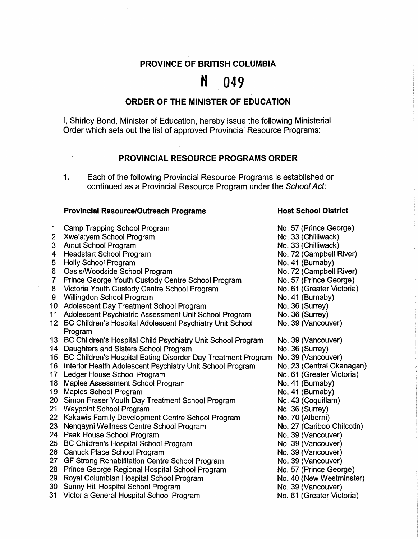# **PROVINCE OF BRITISH COLUMBIA**

# $M$  049

## **ORDER OF THE MINISTER OF EDUCATION**

I, Shirley Bond, Minister of Education, hereby issue the following Ministerial Order which sets out the list of approved Provincial Resource Programs:

## **PROVINCIAL RESOURCE PROGRAMS ORDER**

#### **Provincial Resource/Outreach Programs**

- 1 Camp Trapping School Program 2 Xwe'a:vem School Program 3 Amut School Program 4 Headstart School Program 5 Holly School Program 6 Oasis/Woodside School Program 7 Prince George Youth Custody Centre School Program 8 Victoria Youth Custody Centre School Program 9 Willingdon School Program 10 Adolescent Day Treatment School Program 11 Adolescent Psychiatric Assessment Unit School Program 12 BC Children's Hospital Adolescent Psychiatry Unit School Program 13 BC Children's Hospital Child Psychiatry Unit School Program 14 Daughters and Sisters School Program 15 BC Children's Hospital Eating Disorder Day Treatment Program 16 Interior Health Adolescent Psychiatry Unit School Program 17 Ledger House School Program 18 Maples Assessment School Program 19 Maples School Program 20 Simon Fraser Youth Day Treatment School Program 21 Waypoint School Program 22 Kakawis Family Development Centre School Program 23 Nenqayni Wellness Centre School Program 24 Peak House School Program 25 BC Children's Hospital School Program 26 Canuck Place School Program 27 GF Strong Rehabilitation Centre School Program 28 Prince George Regional Hospital School Program 29 Royal Columbian Hospital School Program
- 30 Sunny Hill Hospital School Program
- 31 Victoria General Hospital School Program

#### **Host School District**

- No. 57 (Prince George) No. 33 (Chilliwack) No. 33 (Chilliwack) No. 72 (Campbell River) No. 41 (Burnaby) No. 72 (Campbell River) No. 57 (Prince George) No. 61 (Greater Victoria) No. 41 (Burnaby) No. 36 (Surrey) No. 36 (Surrey) No. 39 (Vancouver) No. 39 (Vancouver) No. 36 (Surrey) No. 39 (Vancouver) No. 23 (Central Okanagan) No. 61 (Greater Victoria) No. 41 (Burnaby) No. 41 (Burnaby) No. 43 (Coquitlam) No. 36 (Surrey) No. 70 (Alberni) No. 27 (Cariboo Chilcotin) No. 39 (Vancouver) No. 39 (Vancouver) No. 39 (Vancouver) No. 39 (Vancouver) No. 57 (Prince George) No. 40 (New Westminster) No. 39 (Vancouver)
- No. 61 (Greater Victoria)

**<sup>1.</sup>** Each of the following Provincial Resource Programs is established or continued as a Provincial Resource Program under the School Act: